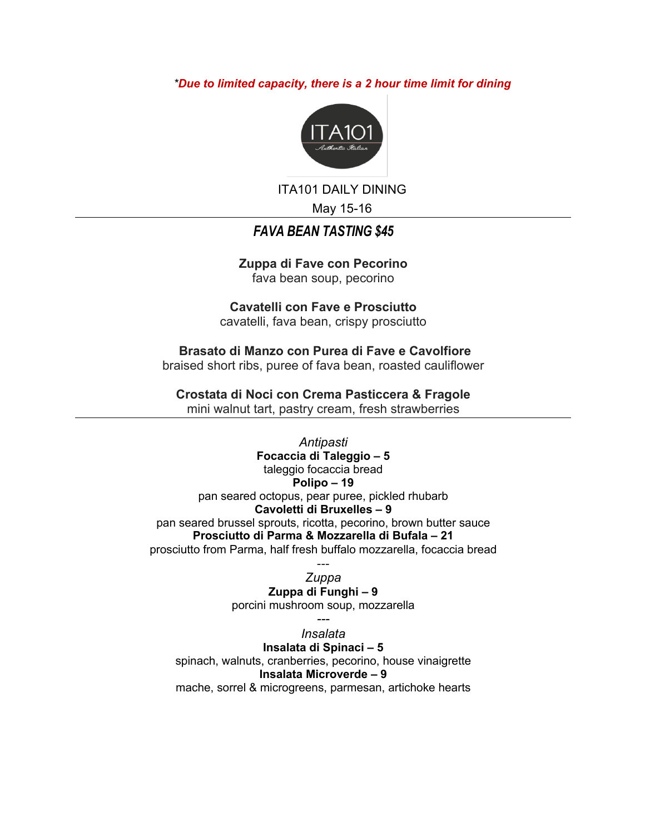*\*Due to limited capacity, there is a 2 hour time limit for dining*



ITA101 DAILY DINING

May 15-16

# *FAVA BEAN TASTING \$45*

**Zuppa di Fave con Pecorino** fava bean soup, pecorino

**Cavatelli con Fave e Prosciutto**  cavatelli, fava bean, crispy prosciutto

**Brasato di Manzo con Purea di Fave e Cavolfiore**  braised short ribs, puree of fava bean, roasted cauliflower

**Crostata di Noci con Crema Pasticcera & Fragole** 

mini walnut tart, pastry cream, fresh strawberries

*Antipasti* **Focaccia di Taleggio – 5** taleggio focaccia bread **Polipo – 19** pan seared octopus, pear puree, pickled rhubarb **Cavoletti di Bruxelles – 9** pan seared brussel sprouts, ricotta, pecorino, brown butter sauce **Prosciutto di Parma & Mozzarella di Bufala – 21** prosciutto from Parma, half fresh buffalo mozzarella, focaccia bread

--- *Zuppa* **Zuppa di Funghi – 9** porcini mushroom soup, mozzarella

*--- Insalata* **Insalata di Spinaci – 5** spinach, walnuts, cranberries, pecorino, house vinaigrette **Insalata Microverde – 9** mache, sorrel & microgreens, parmesan, artichoke hearts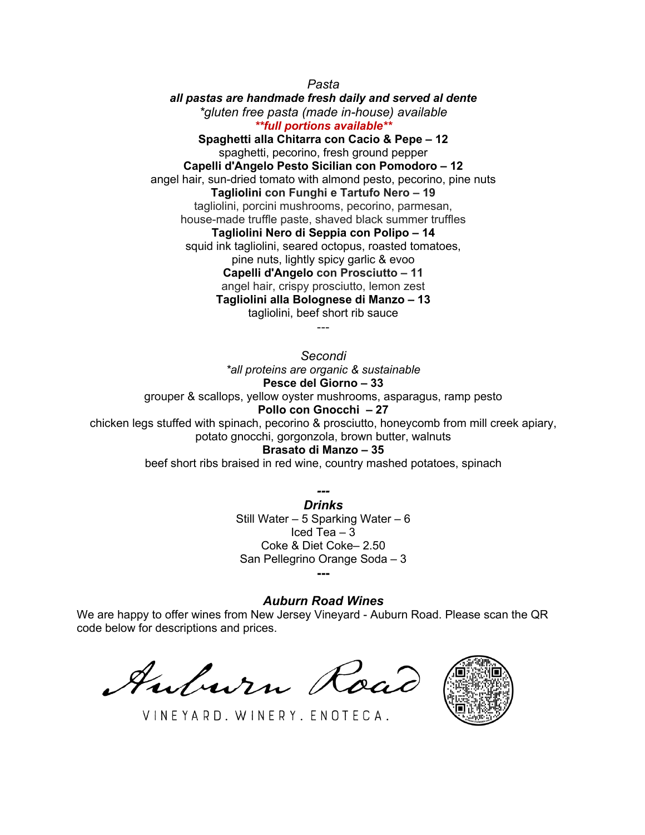*Pasta*

*all pastas are handmade fresh daily and served al dente \*gluten free pasta (made in-house) available \*\*full portions available\*\** **Spaghetti alla Chitarra con Cacio & Pepe – 12**

spaghetti, pecorino, fresh ground pepper **Capelli d'Angelo Pesto Sicilian con Pomodoro – 12** angel hair, sun-dried tomato with almond pesto, pecorino, pine nuts **Tagliolini con Funghi e Tartufo Nero – 19** tagliolini, porcini mushrooms, pecorino, parmesan, house-made truffle paste, shaved black summer truffles **Tagliolini Nero di Seppia con Polipo – 14** squid ink tagliolini, seared octopus, roasted tomatoes, pine nuts, lightly spicy garlic & evoo **Capelli d'Angelo con Prosciutto – 11** angel hair, crispy prosciutto, lemon zest **Tagliolini alla Bolognese di Manzo – 13**

tagliolini, beef short rib sauce ---

*Secondi \*all proteins are organic & sustainable* **Pesce del Giorno – 33** grouper & scallops, yellow oyster mushrooms, asparagus, ramp pesto **Pollo con Gnocchi – 27** chicken legs stuffed with spinach, pecorino & prosciutto, honeycomb from mill creek apiary, potato gnocchi, gorgonzola, brown butter, walnuts

**Brasato di Manzo – 35**

beef short ribs braised in red wine, country mashed potatoes, spinach

*--- Drinks* Still Water – 5 Sparking Water – 6 Iced Tea  $-3$ Coke & Diet Coke– 2.50 San Pellegrino Orange Soda – 3 **---**

### *Auburn Road Wines*

We are happy to offer wines from New Jersey Vineyard - Auburn Road. Please scan the QR code below for descriptions and prices.

Auburn Road



VINEYARD. WINERY. ENOTECA.